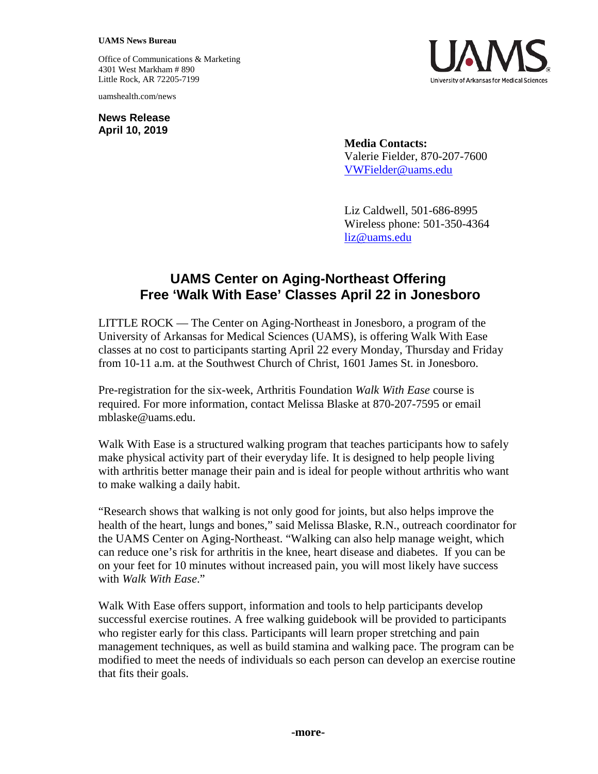## **UAMS News Bureau**

Office of Communications & Marketing 4301 West Markham # 890 Little Rock, AR 72205-7199

uamshealth.com/news

**News Release April 10, 2019**



**Media Contacts:** Valerie Fielder, 870-207-7600 VWFielder@uams.edu

Liz Caldwell, 501-686-8995 Wireless phone: 501-350-4364 [liz@uams.edu](mailto:liz@uams.edu)

## **UAMS Center on Aging-Northeast Offering Free 'Walk With Ease' Classes April 22 in Jonesboro**

LITTLE ROCK — The Center on Aging-Northeast in Jonesboro, a program of the University of Arkansas for Medical Sciences (UAMS), is offering Walk With Ease classes at no cost to participants starting April 22 every Monday, Thursday and Friday from 10-11 a.m. at the Southwest Church of Christ, 1601 James St. in Jonesboro.

Pre-registration for the six-week, Arthritis Foundation *Walk With Ease* course is required. For more information, contact Melissa Blaske at 870-207-7595 or email mblaske@uams.edu.

Walk With Ease is a structured walking program that teaches participants how to safely make physical activity part of their everyday life. It is designed to help people living with arthritis better manage their pain and is ideal for people without arthritis who want to make walking a daily habit.

"Research shows that walking is not only good for joints, but also helps improve the health of the heart, lungs and bones," said Melissa Blaske, R.N., outreach coordinator for the UAMS Center on Aging-Northeast. "Walking can also help manage weight, which can reduce one's risk for arthritis in the knee, heart disease and diabetes. If you can be on your feet for 10 minutes without increased pain, you will most likely have success with *Walk With Ease*."

Walk With Ease offers support, information and tools to help participants develop successful exercise routines. A free walking guidebook will be provided to participants who register early for this class. Participants will learn proper stretching and pain management techniques, as well as build stamina and walking pace. The program can be modified to meet the needs of individuals so each person can develop an exercise routine that fits their goals.